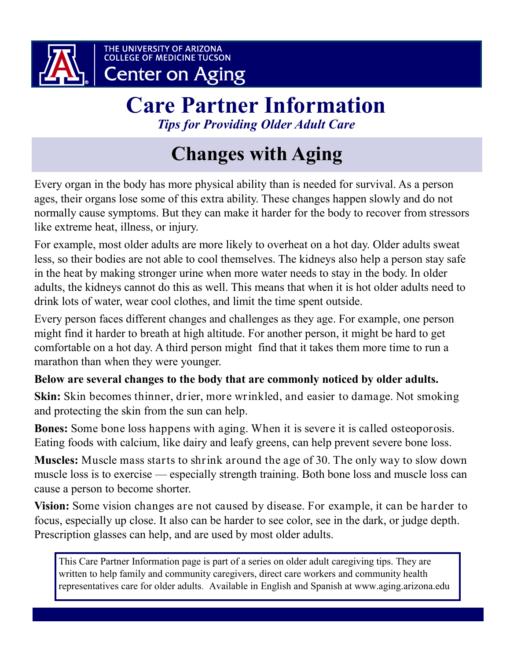

# **Care Partner Information** *Tips for Providing Older Adult Care*

# **Changes with Aging**

Every organ in the body has more physical ability than is needed for survival. As a person ages, their organs lose some of this extra ability. These changes happen slowly and do not normally cause symptoms. But they can make it harder for the body to recover from stressors like extreme heat, illness, or injury.

For example, most older adults are more likely to overheat on a hot day. Older adults sweat less, so their bodies are not able to cool themselves. The kidneys also help a person stay safe in the heat by making stronger urine when more water needs to stay in the body. In older adults, the kidneys cannot do this as well. This means that when it is hot older adults need to drink lots of water, wear cool clothes, and limit the time spent outside.

Every person faces different changes and challenges as they age. For example, one person might find it harder to breath at high altitude. For another person, it might be hard to get comfortable on a hot day. A third person might find that it takes them more time to run a marathon than when they were younger.

## **Below are several changes to the body that are commonly noticed by older adults.**

**Skin:** Skin becomes thinner, drier, more wrinkled, and easier to damage. Not smoking and protecting the skin from the sun can help.

**Bones:** Some bone loss happens with aging. When it is severe it is called osteoporosis. Eating foods with calcium, like dairy and leafy greens, can help prevent severe bone loss.

**Muscles:** Muscle mass starts to shrink around the age of 30. The only way to slow down muscle loss is to exercise — especially strength training. Both bone loss and muscle loss can cause a person to become shorter.

**Vision:** Some vision changes are not caused by disease. For example, it can be harder to focus, especially up close. It also can be harder to see color, see in the dark, or judge depth. Prescription glasses can help, and are used by most older adults.

This Care Partner Information page is part of a series on older adult caregiving tips. They are written to help family and community caregivers, direct care workers and community health representatives care for older adults. Available in English and Spanish at www.aging.arizona.edu